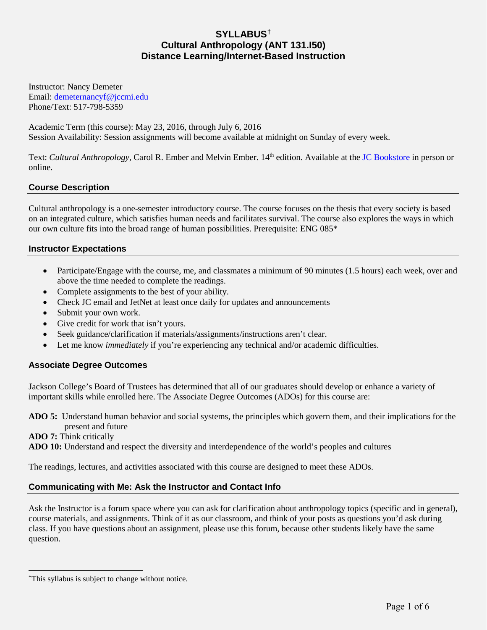# **SYLLABUS[†](#page-0-0) Cultural Anthropology (ANT 131.I50) Distance Learning/Internet-Based Instruction**

Instructor: Nancy Demeter Email: [demeternancyf@jccmi.edu](mailto:demeternancyf@jccmi.edu) Phone/Text: 517-798-5359

Academic Term (this course): May 23, 2016, through July 6, 2016 Session Availability: Session assignments will become available at midnight on Sunday of every week.

Text: *Cultural Anthropology*, Carol R. Ember and Melvin Ember. 14<sup>th</sup> edition. Available at the <u>JC Bookstore</u> in person or online.

# **Course Description**

Cultural anthropology is a one-semester introductory course. The course focuses on the thesis that every society is based on an integrated culture, which satisfies human needs and facilitates survival. The course also explores the ways in which our own culture fits into the broad range of human possibilities. Prerequisite: ENG 085\*

# **Instructor Expectations**

- Participate/Engage with the course, me, and classmates a minimum of 90 minutes (1.5 hours) each week, over and above the time needed to complete the readings.
- Complete assignments to the best of your ability.
- Check JC email and JetNet at least once daily for updates and announcements
- Submit your own work.
- Give credit for work that isn't yours.
- Seek guidance/clarification if materials/assignments/instructions aren't clear.
- Let me know *immediately* if you're experiencing any technical and/or academic difficulties.

## **Associate Degree Outcomes**

Jackson College's Board of Trustees has determined that all of our graduates should develop or enhance a variety of important skills while enrolled here. The Associate Degree Outcomes (ADOs) for this course are:

**ADO 5:** Understand human behavior and social systems, the principles which govern them, and their implications for the present and future

#### **ADO 7:** Think critically

 $\overline{a}$ 

**ADO 10:** Understand and respect the diversity and interdependence of the world's peoples and cultures

The readings, lectures, and activities associated with this course are designed to meet these ADOs.

## **Communicating with Me: Ask the Instructor and Contact Info**

Ask the Instructor is a forum space where you can ask for clarification about anthropology topics (specific and in general), course materials, and assignments. Think of it as our classroom, and think of your posts as questions you'd ask during class. If you have questions about an assignment, please use this forum, because other students likely have the same question.

<span id="page-0-0"></span><sup>†</sup>This syllabus is subject to change without notice.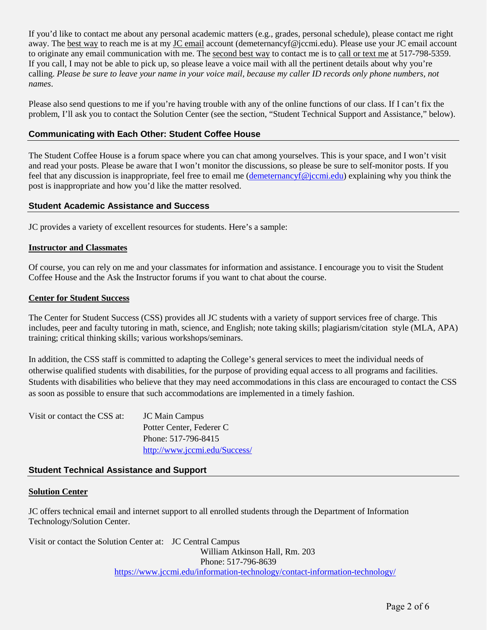If you'd like to contact me about any personal academic matters (e.g., grades, personal schedule), please contact me right away. The best way to reach me is at my JC email account (demeternancyf@jccmi.edu). Please use your JC email account to originate any email communication with me. The second best way to contact me is to call or text me at 517-798-5359. If you call, I may not be able to pick up, so please leave a voice mail with all the pertinent details about why you're calling. *Please be sure to leave your name in your voice mail, because my caller ID records only phone numbers, not names*.

Please also send questions to me if you're having trouble with any of the online functions of our class. If I can't fix the problem, I'll ask you to contact the Solution Center (see the section, "Student Technical Support and Assistance," below).

# **Communicating with Each Other: Student Coffee House**

The Student Coffee House is a forum space where you can chat among yourselves. This is your space, and I won't visit and read your posts. Please be aware that I won't monitor the discussions, so please be sure to self-monitor posts. If you feel that any discussion is inappropriate, feel free to email me [\(demeternancyf@jccmi.edu\)](mailto:demeternancyf@jccmi.edu) explaining why you think the post is inappropriate and how you'd like the matter resolved.

## **Student Academic Assistance and Success**

JC provides a variety of excellent resources for students. Here's a sample:

#### **Instructor and Classmates**

Of course, you can rely on me and your classmates for information and assistance. I encourage you to visit the Student Coffee House and the Ask the Instructor forums if you want to chat about the course.

#### **Center for Student Success**

The Center for Student Success (CSS) provides all JC students with a variety of support services free of charge. This includes, peer and faculty tutoring in math, science, and English; note taking skills; plagiarism/citation style (MLA, APA) training; critical thinking skills; various workshops/seminars.

In addition, the CSS staff is committed to adapting the College's general services to meet the individual needs of otherwise qualified students with disabilities, for the purpose of providing equal access to all programs and facilities. Students with disabilities who believe that they may need accommodations in this class are encouraged to contact the CSS as soon as possible to ensure that such accommodations are implemented in a timely fashion.

| Visit or contact the CSS at: | JC Main Campus                |  |
|------------------------------|-------------------------------|--|
|                              | Potter Center, Federer C      |  |
|                              | Phone: 517-796-8415           |  |
|                              | http://www.jccmi.edu/Success/ |  |

## **Student Technical Assistance and Support**

#### **Solution Center**

JC offers technical email and internet support to all enrolled students through the Department of Information Technology/Solution Center.

Visit or contact the Solution Center at: JC Central Campus

William Atkinson Hall, Rm. 203 Phone: 517-796-8639 <https://www.jccmi.edu/information-technology/contact-information-technology/>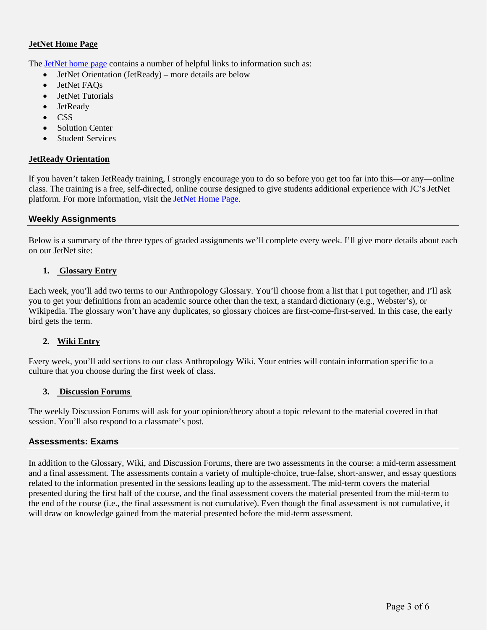# **JetNet Home Page**

The [JetNet home page](http://jetnet.jccmi.edu/) contains a number of helpful links to information such as:

- JetNet Orientation (JetReady) more details are below
- JetNet FAQs
- JetNet Tutorials
- **JetReady**
- CSS
- Solution Center
- **Student Services**

## **JetReady Orientation**

If you haven't taken JetReady training, I strongly encourage you to do so before you get too far into this—or any—online class. The training is a free, self-directed, online course designed to give students additional experience with JC's JetNet platform. For more information, visit the [JetNet Home Page.](http://jetnet.jccmi.edu/)

## **Weekly Assignments**

Below is a summary of the three types of graded assignments we'll complete every week. I'll give more details about each on our JetNet site:

## **1. Glossary Entry**

Each week, you'll add two terms to our Anthropology Glossary. You'll choose from a list that I put together, and I'll ask you to get your definitions from an academic source other than the text, a standard dictionary (e.g., Webster's), or Wikipedia. The glossary won't have any duplicates, so glossary choices are first-come-first-served. In this case, the early bird gets the term.

# **2. Wiki Entry**

Every week, you'll add sections to our class Anthropology Wiki. Your entries will contain information specific to a culture that you choose during the first week of class.

## **3. Discussion Forums**

The weekly Discussion Forums will ask for your opinion/theory about a topic relevant to the material covered in that session. You'll also respond to a classmate's post.

## **Assessments: Exams**

In addition to the Glossary, Wiki, and Discussion Forums, there are two assessments in the course: a mid-term assessment and a final assessment. The assessments contain a variety of multiple-choice, true-false, short-answer, and essay questions related to the information presented in the sessions leading up to the assessment. The mid-term covers the material presented during the first half of the course, and the final assessment covers the material presented from the mid-term to the end of the course (i.e., the final assessment is not cumulative). Even though the final assessment is not cumulative, it will draw on knowledge gained from the material presented before the mid-term assessment.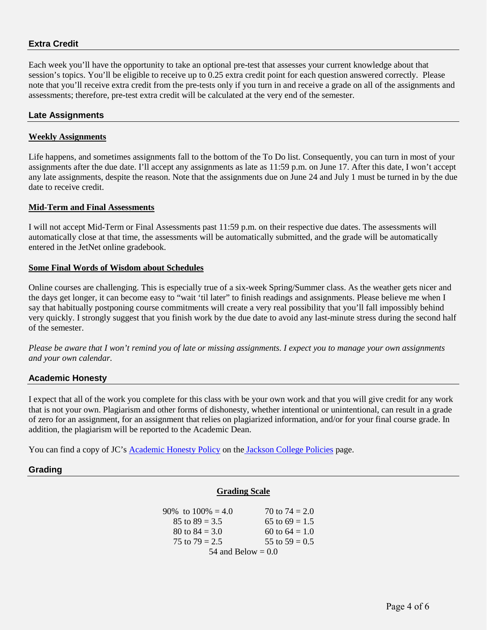# **Extra Credit**

Each week you'll have the opportunity to take an optional pre-test that assesses your current knowledge about that session's topics. You'll be eligible to receive up to 0.25 extra credit point for each question answered correctly. Please note that you'll receive extra credit from the pre-tests only if you turn in and receive a grade on all of the assignments and assessments; therefore, pre-test extra credit will be calculated at the very end of the semester.

#### **Late Assignments**

#### **Weekly Assignments**

Life happens, and sometimes assignments fall to the bottom of the To Do list. Consequently, you can turn in most of your assignments after the due date. I'll accept any assignments as late as 11:59 p.m. on June 17. After this date, I won't accept any late assignments, despite the reason. Note that the assignments due on June 24 and July 1 must be turned in by the due date to receive credit.

#### **Mid-Term and Final Assessments**

I will not accept Mid-Term or Final Assessments past 11:59 p.m. on their respective due dates. The assessments will automatically close at that time, the assessments will be automatically submitted, and the grade will be automatically entered in the JetNet online gradebook.

#### **Some Final Words of Wisdom about Schedules**

Online courses are challenging. This is especially true of a six-week Spring/Summer class. As the weather gets nicer and the days get longer, it can become easy to "wait 'til later" to finish readings and assignments. Please believe me when I say that habitually postponing course commitments will create a very real possibility that you'll fall impossibly behind very quickly. I strongly suggest that you finish work by the due date to avoid any last-minute stress during the second half of the semester.

*Please be aware that I won't remind you of late or missing assignments. I expect you to manage your own assignments and your own calendar.* 

## **Academic Honesty**

I expect that all of the work you complete for this class with be your own work and that you will give credit for any work that is not your own. Plagiarism and other forms of dishonesty, whether intentional or unintentional, can result in a grade of zero for an assignment, for an assignment that relies on plagiarized information, and/or for your final course grade. In addition, the plagiarism will be reported to the Academic Dean.

You can find a copy of JC's [Academic Honesty Policy](https://www.jccmi.edu/wp-content/uploads/2015/11/1004.pdf) on the [Jackson College Policies](https://www.jccmi.edu/policies/) page.

## **Grading**

## **Grading Scale**

| 90\% to $100\% = 4.0$ | 70 to $74 = 2.0$ |  |  |  |  |
|-----------------------|------------------|--|--|--|--|
| 85 to $89 = 3.5$      | 65 to $69 = 1.5$ |  |  |  |  |
| 80 to $84 = 3.0$      | 60 to $64 = 1.0$ |  |  |  |  |
| 75 to $79 = 2.5$      | 55 to $59 = 0.5$ |  |  |  |  |
| 54 and Below $= 0.0$  |                  |  |  |  |  |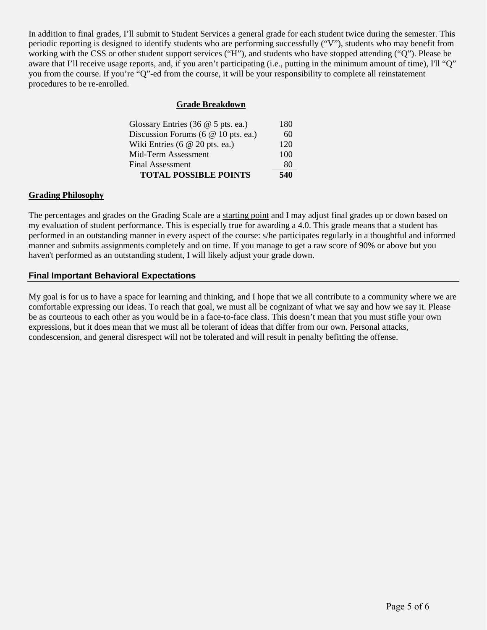In addition to final grades, I'll submit to Student Services a general grade for each student twice during the semester. This periodic reporting is designed to identify students who are performing successfully ("V"), students who may benefit from working with the CSS or other student support services ("H"), and students who have stopped attending ("Q"). Please be aware that I'll receive usage reports, and, if you aren't participating (i.e., putting in the minimum amount of time), I'll "Q" you from the course. If you're "Q"-ed from the course, it will be your responsibility to complete all reinstatement procedures to be re-enrolled.

## **Grade Breakdown**

| Glossary Entries (36 $@$ 5 pts. ea.)   | 180 |
|----------------------------------------|-----|
| Discussion Forums (6 @ 10 pts. ea.)    | 60  |
| Wiki Entries $(6 \t@ 20 \t{pts.}$ ea.) | 120 |
| Mid-Term Assessment                    | 100 |
| <b>Final Assessment</b>                | 80  |
| <b>TOTAL POSSIBLE POINTS</b>           | 540 |

## **Grading Philosophy**

The percentages and grades on the Grading Scale are a starting point and I may adjust final grades up or down based on my evaluation of student performance. This is especially true for awarding a 4.0. This grade means that a student has performed in an outstanding manner in every aspect of the course: s/he participates regularly in a thoughtful and informed manner and submits assignments completely and on time. If you manage to get a raw score of 90% or above but you haven't performed as an outstanding student, I will likely adjust your grade down.

## **Final Important Behavioral Expectations**

My goal is for us to have a space for learning and thinking, and I hope that we all contribute to a community where we are comfortable expressing our ideas. To reach that goal, we must all be cognizant of what we say and how we say it. Please be as courteous to each other as you would be in a face-to-face class. This doesn't mean that you must stifle your own expressions, but it does mean that we must all be tolerant of ideas that differ from our own. Personal attacks, condescension, and general disrespect will not be tolerated and will result in penalty befitting the offense.